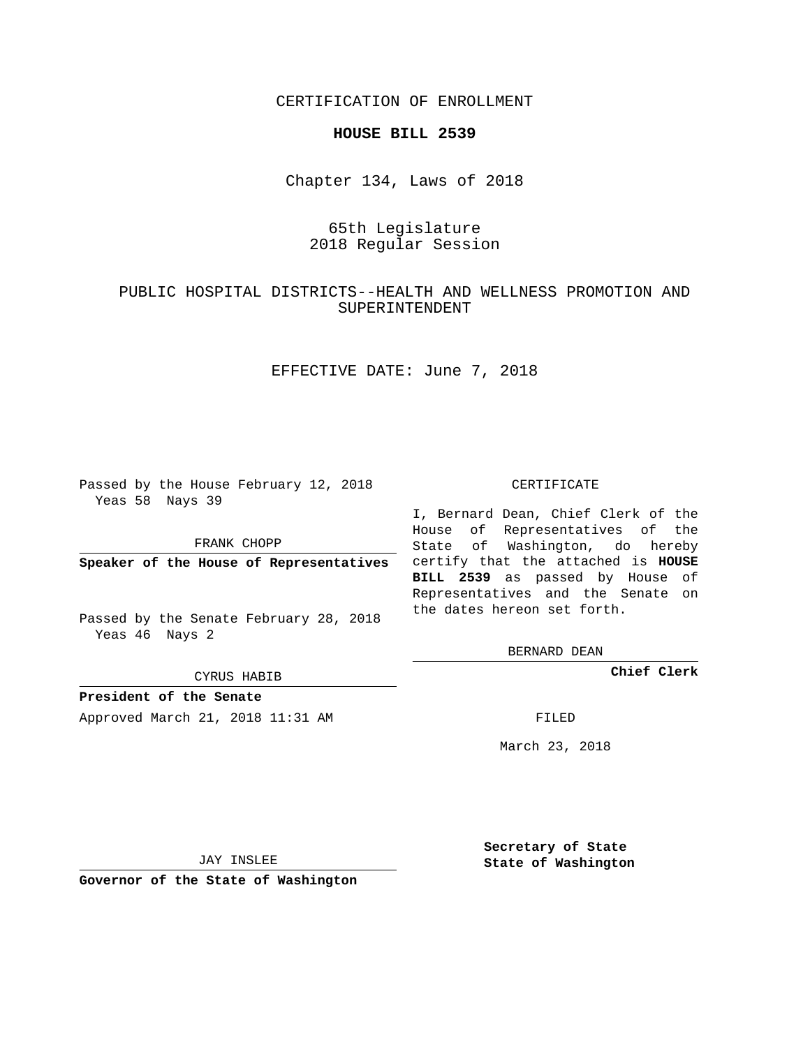CERTIFICATION OF ENROLLMENT

#### **HOUSE BILL 2539**

Chapter 134, Laws of 2018

# 65th Legislature 2018 Regular Session

## PUBLIC HOSPITAL DISTRICTS--HEALTH AND WELLNESS PROMOTION AND SUPERINTENDENT

EFFECTIVE DATE: June 7, 2018

Passed by the House February 12, 2018 Yeas 58 Nays 39

FRANK CHOPP

Passed by the Senate February 28, 2018 Yeas 46 Nays 2

CYRUS HABIB

**President of the Senate**

Approved March 21, 2018 11:31 AM FILED

#### CERTIFICATE

**Speaker of the House of Representatives** certify that the attached is **HOUSE** I, Bernard Dean, Chief Clerk of the House of Representatives of the State of Washington, do hereby **BILL 2539** as passed by House of Representatives and the Senate on the dates hereon set forth.

BERNARD DEAN

**Chief Clerk**

March 23, 2018

JAY INSLEE

**Governor of the State of Washington**

**Secretary of State State of Washington**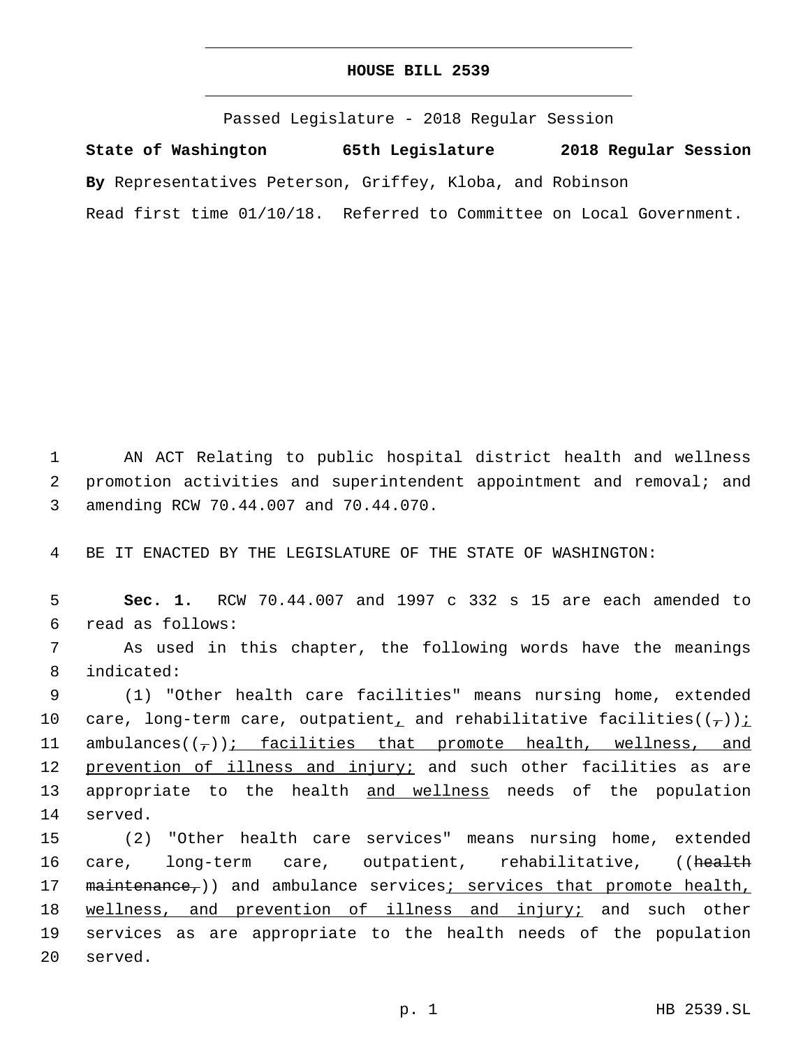### **HOUSE BILL 2539**

Passed Legislature - 2018 Regular Session **State of Washington 65th Legislature 2018 Regular Session By** Representatives Peterson, Griffey, Kloba, and Robinson Read first time 01/10/18. Referred to Committee on Local Government.

1 AN ACT Relating to public hospital district health and wellness 2 promotion activities and superintendent appointment and removal; and amending RCW 70.44.007 and 70.44.070.3

4 BE IT ENACTED BY THE LEGISLATURE OF THE STATE OF WASHINGTON:

5 **Sec. 1.** RCW 70.44.007 and 1997 c 332 s 15 are each amended to read as follows:6

7 As used in this chapter, the following words have the meanings indicated:8

9 (1) "Other health care facilities" means nursing home, extended 10 care, long-term care, outpatient, and rehabilitative facilities( $(\tau)$ ): 11 ambulances $((7))$ ; facilities that promote health, wellness, and 12 prevention of illness and injury; and such other facilities as are 13 appropriate to the health and wellness needs of the population 14 served.

15 (2) "Other health care services" means nursing home, extended 16 care, long-term care, outpatient, rehabilitative, ((health 17 maintenance,)) and ambulance services; services that promote health, 18 wellness, and prevention of illness and injury; and such other 19 services as are appropriate to the health needs of the population 20 served.